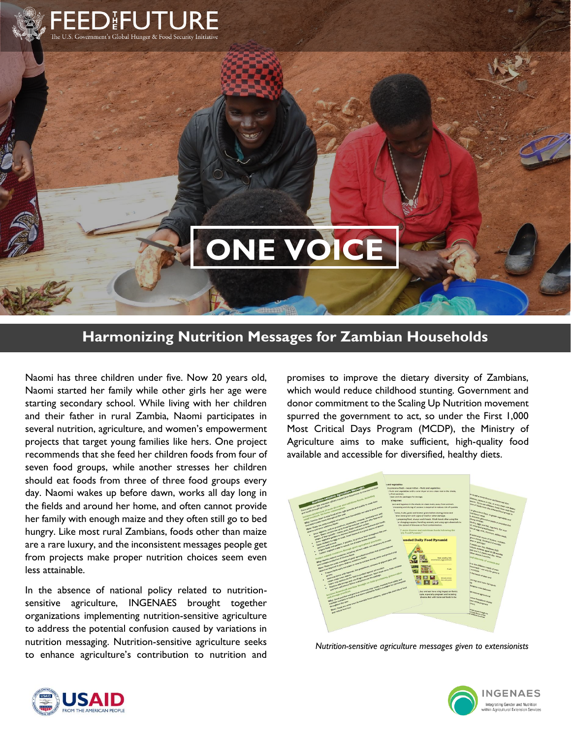

## **ONE VOICE**

## **Harmonizing Nutrition Messages for Zambian Households**

Naomi has three children under five. Now 20 years old, Naomi started her family while other girls her age were starting secondary school. While living with her children and their father in rural Zambia, Naomi participates in several nutrition, agriculture, and women's empowerment projects that target young families like hers. One project recommends that she feed her children foods from four of seven food groups, while another stresses her children should eat foods from three of three food groups every day. Naomi wakes up before dawn, works all day long in the fields and around her home, and often cannot provide her family with enough maize and they often still go to bed hungry. Like most rural Zambians, foods other than maize are a rare luxury, and the inconsistent messages people get from projects make proper nutrition choices seem even less attainable.

In the absence of national policy related to nutritionsensitive agriculture, INGENAES brought together organizations implementing nutrition-sensitive agriculture to address the potential confusion caused by variations in nutrition messaging. Nutrition-sensitive agriculture seeks to enhance agriculture's contribution to nutrition and

promises to improve the dietary diversity of Zambians, which would reduce childhood stunting. Government and donor commitment to the Scaling Up Nutrition movement spurred the government to act, so under the First 1,000 Most Critical Days Program (MCDP), the Ministry of Agriculture aims to make sufficient, high-quality food available and accessible for diversified, healthy diets.



*[Nutrition-sensitive agriculture messages](http://ingenaes.illinois.edu/wp-content/uploads/ING-Tip-Sheet-2017_05-Nutrition-Sensitive-Ag-Messages.pdf) given to extensionists*